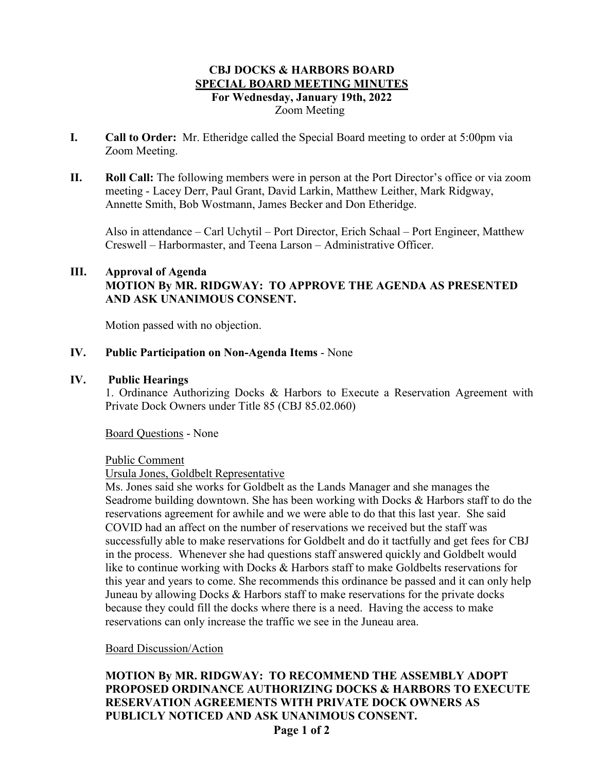## **CBJ DOCKS & HARBORS BOARD SPECIAL BOARD MEETING MINUTES For Wednesday, January 19th, 2022** Zoom Meeting

- **I. Call to Order:** Mr. Etheridge called the Special Board meeting to order at 5:00pm via Zoom Meeting.
- **II. Roll Call:** The following members were in person at the Port Director's office or via zoom meeting - Lacey Derr, Paul Grant, David Larkin, Matthew Leither, Mark Ridgway, Annette Smith, Bob Wostmann, James Becker and Don Etheridge.

Also in attendance – Carl Uchytil – Port Director, Erich Schaal – Port Engineer, Matthew Creswell – Harbormaster, and Teena Larson – Administrative Officer.

# **III. Approval of Agenda MOTION By MR. RIDGWAY: TO APPROVE THE AGENDA AS PRESENTED AND ASK UNANIMOUS CONSENT.**

Motion passed with no objection.

### **IV. Public Participation on Non-Agenda Items** - None

#### **IV. Public Hearings**

1. Ordinance Authorizing Docks & Harbors to Execute a Reservation Agreement with Private Dock Owners under Title 85 (CBJ 85.02.060)

Board Questions - None

Public Comment

Ursula Jones, Goldbelt Representative

Ms. Jones said she works for Goldbelt as the Lands Manager and she manages the Seadrome building downtown. She has been working with Docks & Harbors staff to do the reservations agreement for awhile and we were able to do that this last year. She said COVID had an affect on the number of reservations we received but the staff was successfully able to make reservations for Goldbelt and do it tactfully and get fees for CBJ in the process. Whenever she had questions staff answered quickly and Goldbelt would like to continue working with Docks & Harbors staff to make Goldbelts reservations for this year and years to come. She recommends this ordinance be passed and it can only help Juneau by allowing Docks & Harbors staff to make reservations for the private docks because they could fill the docks where there is a need. Having the access to make reservations can only increase the traffic we see in the Juneau area.

### Board Discussion/Action

# **MOTION By MR. RIDGWAY: TO RECOMMEND THE ASSEMBLY ADOPT PROPOSED ORDINANCE AUTHORIZING DOCKS & HARBORS TO EXECUTE RESERVATION AGREEMENTS WITH PRIVATE DOCK OWNERS AS PUBLICLY NOTICED AND ASK UNANIMOUS CONSENT.**

**Page 1 of 2**